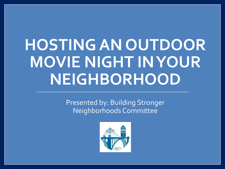# **HOSTING AN OUTDOOR MOVIE NIGHT IN YOUR NEIGHBORHOOD**

Presented by: Building Stronger Neighborhoods Committee

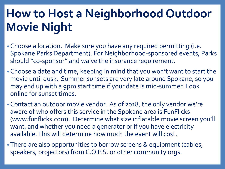- •Choose a location. Make sure you have any required permitting (i.e. Spokane Parks Department). For Neighborhood-sponsored events, Parks should "co-sponsor" and waive the insurance requirement.
- •Choose a date and time, keeping in mind that you won't want to start the movie until dusk. Summer sunsets are very late around Spokane, so you may end up with a 9pm start time if your date is mid-summer. Look online for sunset times.
- •Contact an outdoor movie vendor. As of 2018, the only vendor we're aware of who offers this service in the Spokane area is FunFlicks (www.funflicks.com). Determine what size inflatable movie screen you'll want, and whether you need a generator or if you have electricity available. This will determine how much the event will cost.
- •There are also opportunities to borrow screens & equipment (cables, speakers, projectors) from C.O.P.S. or other community orgs.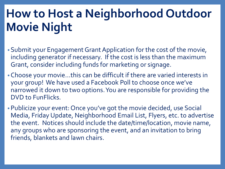- •Submit your Engagement Grant Application for the cost of the movie, including generator if necessary. If the cost is less than the maximum Grant, consider including funds for marketing or signage.
- •Choose your movie…this can be difficult if there are varied interests in your group! We have used a Facebook Poll to choose once we've narrowed it down to two options. You are responsible for providing the DVD to FunFlicks.
- •Publicize your event: Once you've got the movie decided, use Social Media, Friday Update, Neighborhood Email List, Flyers, etc. to advertise the event. Notices should include the date/time/location, movie name, any groups who are sponsoring the event, and an invitation to bring friends, blankets and lawn chairs.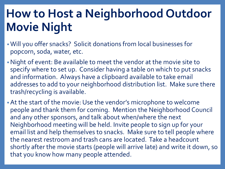- •Will you offer snacks? Solicit donations from local businesses for popcorn, soda, water, etc.
- •Night of event: Be available to meet the vendor at the movie site to specify where to set up. Consider having a table on which to put snacks and information. Always have a clipboard available to take email addresses to add to your neighborhood distribution list. Make sure there trash/recycling is available.
- •At the start of the movie: Use the vendor's microphone to welcome people and thank them for coming. Mention the Neighborhood Council and any other sponsors, and talk about when/where the next Neighborhood meeting will be held. Invite people to sign up for your email list and help themselves to snacks. Make sure to tell people where the nearest restroom and trash cans are located. Take a headcount shortly after the movie starts (people will arrive late) and write it down, so that you know how many people attended.